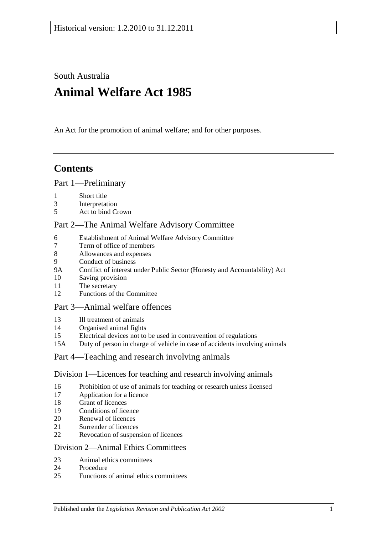South Australia

# **Animal Welfare Act 1985**

An Act for the promotion of animal welfare; and for other purposes.

## **Contents**

#### [Part 1—Preliminary](#page-1-0)

- [Short title](#page-1-1)
- [Interpretation](#page-2-0)
- [Act to bind Crown](#page-3-0)

## [Part 2—The Animal Welfare Advisory Committee](#page-3-1)

- [Establishment of Animal Welfare Advisory Committee](#page-3-2)
- [Term of office of members](#page-4-0)<br>8 Allowances and expenses
- [Allowances and expenses](#page-4-1)
- [Conduct of business](#page-5-0)
- 9A [Conflict of interest under Public Sector \(Honesty and Accountability\) Act](#page-5-1)
- [Saving provision](#page-5-2)
- [The secretary](#page-5-3)
- [Functions of the Committee](#page-5-4)

## [Part 3—Animal welfare offences](#page-6-0)

- [Ill treatment of animals](#page-6-1)
- [Organised animal fights](#page-7-0)
- [Electrical devices not to be used in contravention of regulations](#page-8-0)
- 15A [Duty of person in charge of vehicle in case of accidents involving animals](#page-8-1)

#### [Part 4—Teaching and research involving animals](#page-8-2)

#### [Division 1—Licences for teaching and research involving animals](#page-8-3)

- [Prohibition of use of animals for teaching or research unless licensed](#page-8-4)
- [Application for a licence](#page-8-5)
- [Grant of licences](#page-9-0)
- [Conditions of licence](#page-9-1)
- [Renewal of licences](#page-10-0)
- [Surrender of licences](#page-10-1)
- [Revocation of suspension of licences](#page-10-2)

#### [Division 2—Animal Ethics Committees](#page-10-3)

- [Animal ethics committees](#page-10-4)
- [Procedure](#page-11-0)
- [Functions of animal ethics committees](#page-11-1)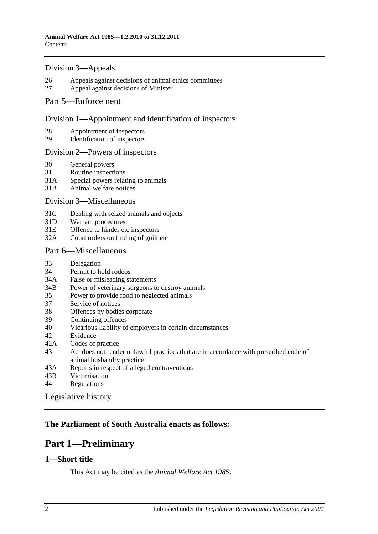#### [Division 3—Appeals](#page-12-0)

- 26 [Appeals against decisions of animal ethics committees](#page-12-1)
- 27 [Appeal against decisions of Minister](#page-12-2)

#### [Part 5—Enforcement](#page-13-0)

#### [Division 1—Appointment and identification of inspectors](#page-13-1)

- 28 [Appointment of inspectors](#page-13-2)
- 29 [Identification of inspectors](#page-13-3)

#### [Division 2—Powers of inspectors](#page-14-0)

- 30 [General powers](#page-14-1)
- 31 [Routine inspections](#page-15-0)
- 31A [Special powers relating to animals](#page-16-0)
- 31B [Animal welfare notices](#page-17-0)

#### [Division 3—Miscellaneous](#page-17-1)

- 31C [Dealing with seized animals and objects](#page-17-2)
- 31D [Warrant procedures](#page-18-0)
- 31E [Offence to hinder etc inspectors](#page-19-0)
- 32A [Court orders on finding of guilt etc](#page-19-1)

#### [Part 6—Miscellaneous](#page-20-0)

- 33 [Delegation](#page-20-1)
- 34 [Permit to hold rodeos](#page-20-2)
- 34A [False or misleading statements](#page-20-3)
- 34B [Power of veterinary surgeons to destroy animals](#page-21-0)
- 35 [Power to provide food to neglected animals](#page-21-1)
- 37 [Service of notices](#page-21-2)
- 38 [Offences by bodies corporate](#page-21-3)
- 39 [Continuing offences](#page-21-4)
- 40 [Vicarious liability of employers in certain circumstances](#page-21-5)
- 42 [Evidence](#page-22-0)
- 42A [Codes of practice](#page-22-1)
- 43 [Act does not render unlawful practices that are in accordance with prescribed code of](#page-22-2)  [animal husbandry practice](#page-22-2)
- 43A [Reports in respect of alleged contraventions](#page-22-3)
- 43B [Victimisation](#page-22-4)
- 44 [Regulations](#page-23-0)

[Legislative history](#page-25-0)

## <span id="page-1-0"></span>**The Parliament of South Australia enacts as follows:**

## **Part 1—Preliminary**

#### <span id="page-1-1"></span>**1—Short title**

This Act may be cited as the *Animal Welfare Act 1985*.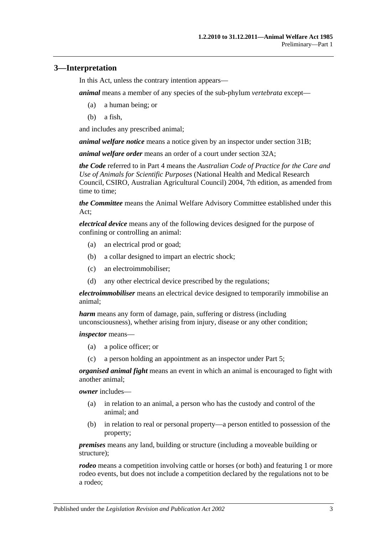## <span id="page-2-0"></span>**3—Interpretation**

In this Act, unless the contrary intention appears—

*animal* means a member of any species of the sub-phylum *vertebrata* except—

- (a) a human being; or
- (b) a fish,

and includes any prescribed animal;

*animal welfare notice* means a notice given by an inspector under [section](#page-17-0) 31B;

*animal welfare order* means an order of a court under [section](#page-19-1) 32A;

*the Code* referred to in [Part 4](#page-8-2) means the *Australian Code of Practice for the Care and Use of Animals for Scientific Purposes* (National Health and Medical Research Council, CSIRO, Australian Agricultural Council) 2004, 7th edition, as amended from time to time;

*the Committee* means the Animal Welfare Advisory Committee established under this Act;

*electrical device* means any of the following devices designed for the purpose of confining or controlling an animal:

- (a) an electrical prod or goad;
- (b) a collar designed to impart an electric shock;
- (c) an electroimmobiliser;
- (d) any other electrical device prescribed by the regulations;

*electroimmobiliser* means an electrical device designed to temporarily immobilise an animal;

*harm* means any form of damage, pain, suffering or distress (including unconsciousness), whether arising from injury, disease or any other condition;

*inspector* means—

- (a) a police officer; or
- (c) a person holding an appointment as an inspector under [Part 5;](#page-13-0)

*organised animal fight* means an event in which an animal is encouraged to fight with another animal;

*owner* includes—

- (a) in relation to an animal, a person who has the custody and control of the animal; and
- (b) in relation to real or personal property—a person entitled to possession of the property;

*premises* means any land, building or structure (including a moveable building or structure);

*rodeo* means a competition involving cattle or horses (or both) and featuring 1 or more rodeo events, but does not include a competition declared by the regulations not to be a rodeo;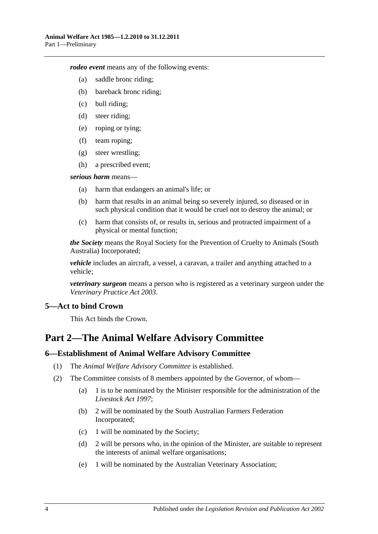*rodeo event* means any of the following events:

- (a) saddle bronc riding;
- (b) bareback bronc riding;
- (c) bull riding;
- (d) steer riding;
- (e) roping or tying;
- (f) team roping;
- (g) steer wrestling;
- (h) a prescribed event;

#### *serious harm* means—

- (a) harm that endangers an animal's life; or
- (b) harm that results in an animal being so severely injured, so diseased or in such physical condition that it would be cruel not to destroy the animal; or
- (c) harm that consists of, or results in, serious and protracted impairment of a physical or mental function;

*the Society* means the Royal Society for the Prevention of Cruelty to Animals (South Australia) Incorporated;

*vehicle* includes an aircraft, a vessel, a caravan, a trailer and anything attached to a vehicle;

*veterinary surgeon* means a person who is registered as a veterinary surgeon under the *[Veterinary Practice Act](http://www.legislation.sa.gov.au/index.aspx?action=legref&type=act&legtitle=Veterinary%20Practice%20Act%202003) 2003*.

## <span id="page-3-0"></span>**5—Act to bind Crown**

This Act binds the Crown.

## <span id="page-3-1"></span>**Part 2—The Animal Welfare Advisory Committee**

#### <span id="page-3-2"></span>**6—Establishment of Animal Welfare Advisory Committee**

- (1) The *Animal Welfare Advisory Committee* is established.
- (2) The Committee consists of 8 members appointed by the Governor, of whom—
	- (a) 1 is to be nominated by the Minister responsible for the administration of the *[Livestock Act](http://www.legislation.sa.gov.au/index.aspx?action=legref&type=act&legtitle=Livestock%20Act%201997) 1997*;
	- (b) 2 will be nominated by the South Australian Farmers Federation Incorporated;
	- (c) 1 will be nominated by the Society;
	- (d) 2 will be persons who, in the opinion of the Minister, are suitable to represent the interests of animal welfare organisations;
	- (e) 1 will be nominated by the Australian Veterinary Association;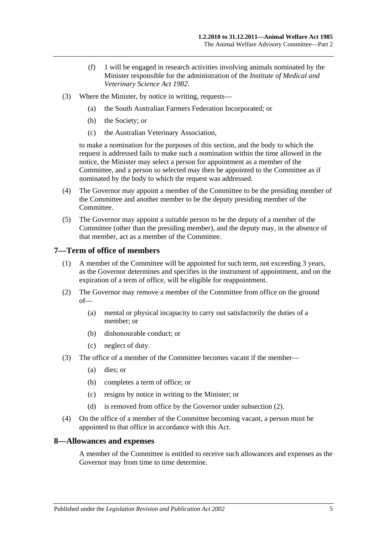- (f) 1 will be engaged in research activities involving animals nominated by the Minister responsible for the administration of the *[Institute of Medical and](http://www.legislation.sa.gov.au/index.aspx?action=legref&type=act&legtitle=Institute%20of%20Medical%20and%20Veterinary%20Science%20Act%201982)  [Veterinary Science Act](http://www.legislation.sa.gov.au/index.aspx?action=legref&type=act&legtitle=Institute%20of%20Medical%20and%20Veterinary%20Science%20Act%201982) 1982*.
- (3) Where the Minister, by notice in writing, requests—
	- (a) the South Australian Farmers Federation Incorporated; or
	- (b) the Society; or
	- (c) the Australian Veterinary Association,

to make a nomination for the purposes of this section, and the body to which the request is addressed fails to make such a nomination within the time allowed in the notice, the Minister may select a person for appointment as a member of the Committee, and a person so selected may then be appointed to the Committee as if nominated by the body to which the request was addressed.

- (4) The Governor may appoint a member of the Committee to be the presiding member of the Committee and another member to be the deputy presiding member of the Committee.
- (5) The Governor may appoint a suitable person to be the deputy of a member of the Committee (other than the presiding member), and the deputy may, in the absence of that member, act as a member of the Committee.

#### <span id="page-4-0"></span>**7—Term of office of members**

- (1) A member of the Committee will be appointed for such term, not exceeding 3 years, as the Governor determines and specifies in the instrument of appointment, and on the expiration of a term of office, will be eligible for reappointment.
- <span id="page-4-2"></span>(2) The Governor may remove a member of the Committee from office on the ground of—
	- (a) mental or physical incapacity to carry out satisfactorily the duties of a member; or
	- (b) dishonourable conduct; or
	- (c) neglect of duty.
- (3) The office of a member of the Committee becomes vacant if the member—
	- (a) dies; or
	- (b) completes a term of office; or
	- (c) resigns by notice in writing to the Minister; or
	- (d) is removed from office by the Governor under [subsection](#page-4-2) (2).
- (4) On the office of a member of the Committee becoming vacant, a person must be appointed to that office in accordance with this Act.

#### <span id="page-4-1"></span>**8—Allowances and expenses**

A member of the Committee is entitled to receive such allowances and expenses as the Governor may from time to time determine.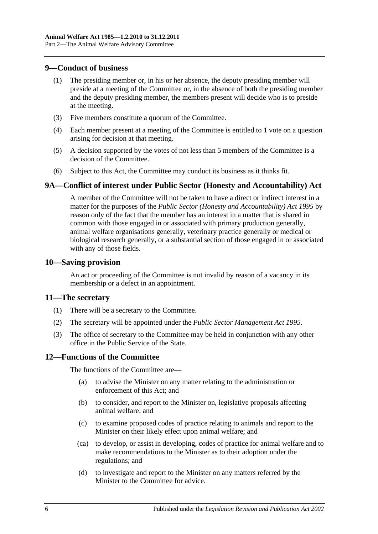#### <span id="page-5-0"></span>**9—Conduct of business**

- (1) The presiding member or, in his or her absence, the deputy presiding member will preside at a meeting of the Committee or, in the absence of both the presiding member and the deputy presiding member, the members present will decide who is to preside at the meeting.
- (3) Five members constitute a quorum of the Committee.
- (4) Each member present at a meeting of the Committee is entitled to 1 vote on a question arising for decision at that meeting.
- (5) A decision supported by the votes of not less than 5 members of the Committee is a decision of the Committee.
- (6) Subject to this Act, the Committee may conduct its business as it thinks fit.

## <span id="page-5-1"></span>**9A—Conflict of interest under Public Sector (Honesty and Accountability) Act**

A member of the Committee will not be taken to have a direct or indirect interest in a matter for the purposes of the *[Public Sector \(Honesty and Accountability\) Act](http://www.legislation.sa.gov.au/index.aspx?action=legref&type=act&legtitle=Public%20Sector%20(Honesty%20and%20Accountability)%20Act%201995) 1995* by reason only of the fact that the member has an interest in a matter that is shared in common with those engaged in or associated with primary production generally, animal welfare organisations generally, veterinary practice generally or medical or biological research generally, or a substantial section of those engaged in or associated with any of those fields.

#### <span id="page-5-2"></span>**10—Saving provision**

An act or proceeding of the Committee is not invalid by reason of a vacancy in its membership or a defect in an appointment.

#### <span id="page-5-3"></span>**11—The secretary**

- (1) There will be a secretary to the Committee.
- (2) The secretary will be appointed under the *[Public Sector Management Act](http://www.legislation.sa.gov.au/index.aspx?action=legref&type=act&legtitle=Public%20Sector%20Management%20Act%201995) 1995*.
- (3) The office of secretary to the Committee may be held in conjunction with any other office in the Public Service of the State.

## <span id="page-5-4"></span>**12—Functions of the Committee**

The functions of the Committee are—

- (a) to advise the Minister on any matter relating to the administration or enforcement of this Act; and
- (b) to consider, and report to the Minister on, legislative proposals affecting animal welfare; and
- (c) to examine proposed codes of practice relating to animals and report to the Minister on their likely effect upon animal welfare; and
- (ca) to develop, or assist in developing, codes of practice for animal welfare and to make recommendations to the Minister as to their adoption under the regulations; and
- (d) to investigate and report to the Minister on any matters referred by the Minister to the Committee for advice.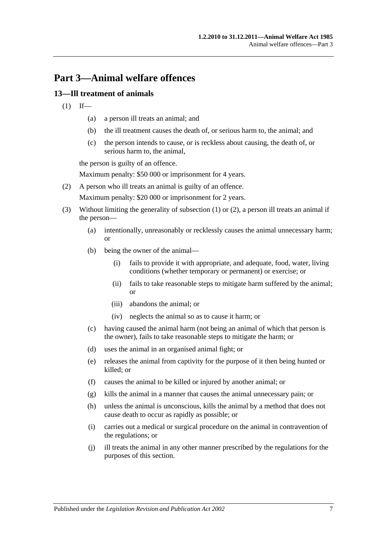## <span id="page-6-0"></span>**Part 3—Animal welfare offences**

## <span id="page-6-2"></span><span id="page-6-1"></span>**13—Ill treatment of animals**

- $(1)$  If—
	- (a) a person ill treats an animal; and
	- (b) the ill treatment causes the death of, or serious harm to, the animal; and
	- (c) the person intends to cause, or is reckless about causing, the death of, or serious harm to, the animal,

the person is guilty of an offence.

Maximum penalty: \$50 000 or imprisonment for 4 years.

<span id="page-6-3"></span>(2) A person who ill treats an animal is guilty of an offence.

Maximum penalty: \$20 000 or imprisonment for 2 years.

- (3) Without limiting the generality of [subsection](#page-6-2) (1) or [\(2\),](#page-6-3) a person ill treats an animal if the person—
	- (a) intentionally, unreasonably or recklessly causes the animal unnecessary harm; or
	- (b) being the owner of the animal—
		- (i) fails to provide it with appropriate, and adequate, food, water, living conditions (whether temporary or permanent) or exercise; or
		- (ii) fails to take reasonable steps to mitigate harm suffered by the animal; or
		- (iii) abandons the animal; or
		- (iv) neglects the animal so as to cause it harm; or
	- (c) having caused the animal harm (not being an animal of which that person is the owner), fails to take reasonable steps to mitigate the harm; or
	- (d) uses the animal in an organised animal fight; or
	- (e) releases the animal from captivity for the purpose of it then being hunted or killed; or
	- (f) causes the animal to be killed or injured by another animal; or
	- (g) kills the animal in a manner that causes the animal unnecessary pain; or
	- (h) unless the animal is unconscious, kills the animal by a method that does not cause death to occur as rapidly as possible; or
	- (i) carries out a medical or surgical procedure on the animal in contravention of the regulations; or
	- (j) ill treats the animal in any other manner prescribed by the regulations for the purposes of this section.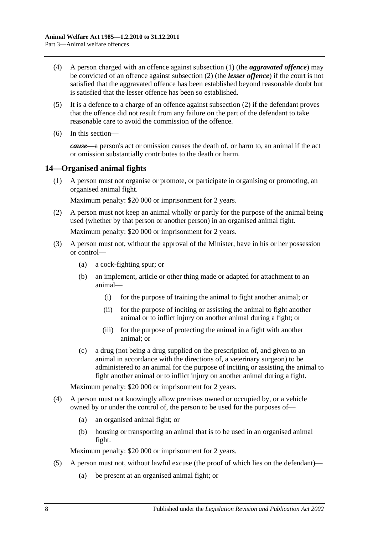- (4) A person charged with an offence against [subsection](#page-6-2) (1) (the *aggravated offence*) may be convicted of an offence against [subsection](#page-6-3) (2) (the *lesser offence*) if the court is not satisfied that the aggravated offence has been established beyond reasonable doubt but is satisfied that the lesser offence has been so established.
- (5) It is a defence to a charge of an offence against [subsection](#page-6-3) (2) if the defendant proves that the offence did not result from any failure on the part of the defendant to take reasonable care to avoid the commission of the offence.
- (6) In this section—

*cause*—a person's act or omission causes the death of, or harm to, an animal if the act or omission substantially contributes to the death or harm.

## <span id="page-7-0"></span>**14—Organised animal fights**

(1) A person must not organise or promote, or participate in organising or promoting, an organised animal fight.

Maximum penalty: \$20 000 or imprisonment for 2 years.

- (2) A person must not keep an animal wholly or partly for the purpose of the animal being used (whether by that person or another person) in an organised animal fight. Maximum penalty: \$20 000 or imprisonment for 2 years.
- (3) A person must not, without the approval of the Minister, have in his or her possession or control—
	- (a) a cock-fighting spur; or
	- (b) an implement, article or other thing made or adapted for attachment to an animal—
		- (i) for the purpose of training the animal to fight another animal; or
		- (ii) for the purpose of inciting or assisting the animal to fight another animal or to inflict injury on another animal during a fight; or
		- (iii) for the purpose of protecting the animal in a fight with another animal; or
	- (c) a drug (not being a drug supplied on the prescription of, and given to an animal in accordance with the directions of, a veterinary surgeon) to be administered to an animal for the purpose of inciting or assisting the animal to fight another animal or to inflict injury on another animal during a fight.

Maximum penalty: \$20 000 or imprisonment for 2 years.

- (4) A person must not knowingly allow premises owned or occupied by, or a vehicle owned by or under the control of, the person to be used for the purposes of—
	- (a) an organised animal fight; or
	- (b) housing or transporting an animal that is to be used in an organised animal fight.

Maximum penalty: \$20 000 or imprisonment for 2 years.

- (5) A person must not, without lawful excuse (the proof of which lies on the defendant)—
	- (a) be present at an organised animal fight; or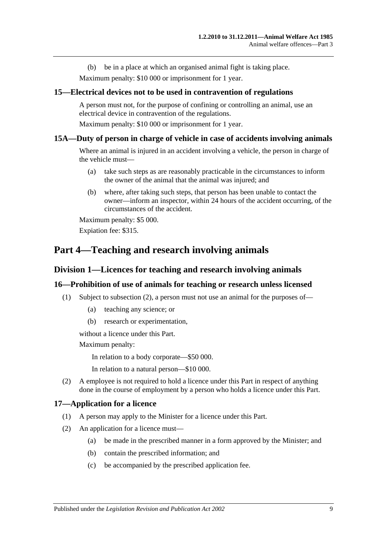(b) be in a place at which an organised animal fight is taking place.

Maximum penalty: \$10 000 or imprisonment for 1 year.

#### <span id="page-8-0"></span>**15—Electrical devices not to be used in contravention of regulations**

A person must not, for the purpose of confining or controlling an animal, use an electrical device in contravention of the regulations.

Maximum penalty: \$10 000 or imprisonment for 1 year.

#### <span id="page-8-1"></span>**15A—Duty of person in charge of vehicle in case of accidents involving animals**

Where an animal is injured in an accident involving a vehicle, the person in charge of the vehicle must—

- (a) take such steps as are reasonably practicable in the circumstances to inform the owner of the animal that the animal was injured; and
- (b) where, after taking such steps, that person has been unable to contact the owner—inform an inspector, within 24 hours of the accident occurring, of the circumstances of the accident.

Maximum penalty: \$5 000. Expiation fee: \$315.

## <span id="page-8-3"></span><span id="page-8-2"></span>**Part 4—Teaching and research involving animals**

#### **Division 1—Licences for teaching and research involving animals**

#### <span id="page-8-4"></span>**16—Prohibition of use of animals for teaching or research unless licensed**

- (1) Subject to [subsection](#page-8-6) (2), a person must not use an animal for the purposes of—
	- (a) teaching any science; or
	- (b) research or experimentation,

without a licence under this Part.

Maximum penalty:

In relation to a body corporate—\$50 000.

In relation to a natural person—\$10 000.

<span id="page-8-6"></span>(2) A employee is not required to hold a licence under this Part in respect of anything done in the course of employment by a person who holds a licence under this Part.

#### <span id="page-8-5"></span>**17—Application for a licence**

- (1) A person may apply to the Minister for a licence under this Part.
- (2) An application for a licence must—
	- (a) be made in the prescribed manner in a form approved by the Minister; and
	- (b) contain the prescribed information; and
	- (c) be accompanied by the prescribed application fee.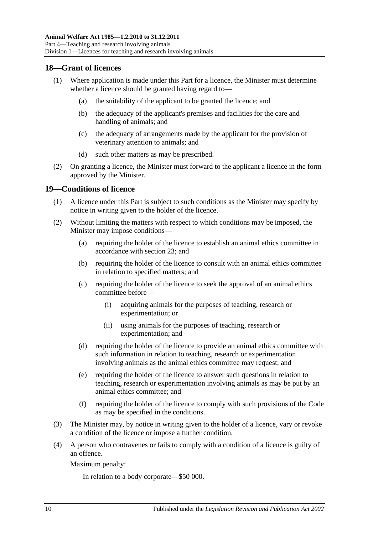### <span id="page-9-0"></span>**18—Grant of licences**

- (1) Where application is made under this Part for a licence, the Minister must determine whether a licence should be granted having regard to—
	- (a) the suitability of the applicant to be granted the licence; and
	- (b) the adequacy of the applicant's premises and facilities for the care and handling of animals; and
	- (c) the adequacy of arrangements made by the applicant for the provision of veterinary attention to animals; and
	- (d) such other matters as may be prescribed.
- (2) On granting a licence, the Minister must forward to the applicant a licence in the form approved by the Minister.

#### <span id="page-9-1"></span>**19—Conditions of licence**

- (1) A licence under this Part is subject to such conditions as the Minister may specify by notice in writing given to the holder of the licence.
- (2) Without limiting the matters with respect to which conditions may be imposed, the Minister may impose conditions—
	- (a) requiring the holder of the licence to establish an animal ethics committee in accordance with [section](#page-10-4) 23; and
	- (b) requiring the holder of the licence to consult with an animal ethics committee in relation to specified matters; and
	- (c) requiring the holder of the licence to seek the approval of an animal ethics committee before—
		- (i) acquiring animals for the purposes of teaching, research or experimentation; or
		- (ii) using animals for the purposes of teaching, research or experimentation; and
	- (d) requiring the holder of the licence to provide an animal ethics committee with such information in relation to teaching, research or experimentation involving animals as the animal ethics committee may request; and
	- (e) requiring the holder of the licence to answer such questions in relation to teaching, research or experimentation involving animals as may be put by an animal ethics committee; and
	- (f) requiring the holder of the licence to comply with such provisions of the Code as may be specified in the conditions.
- (3) The Minister may, by notice in writing given to the holder of a licence, vary or revoke a condition of the licence or impose a further condition.
- (4) A person who contravenes or fails to comply with a condition of a licence is guilty of an offence.

Maximum penalty:

In relation to a body corporate—\$50 000.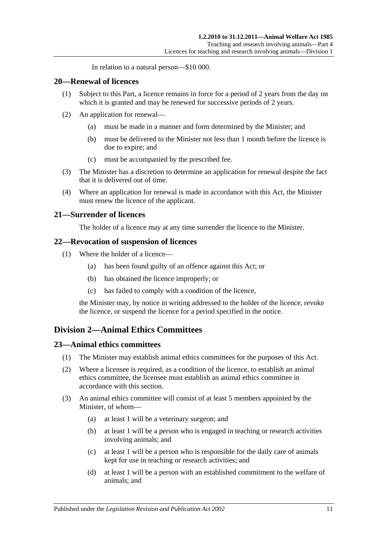In relation to a natural person—\$10 000.

#### <span id="page-10-0"></span>**20—Renewal of licences**

- (1) Subject to this Part, a licence remains in force for a period of 2 years from the day on which it is granted and may be renewed for successive periods of 2 years.
- (2) An application for renewal—
	- (a) must be made in a manner and form determined by the Minister; and
	- (b) must be delivered to the Minister not less than 1 month before the licence is due to expire; and
	- (c) must be accompanied by the prescribed fee.
- (3) The Minister has a discretion to determine an application for renewal despite the fact that it is delivered out of time.
- (4) Where an application for renewal is made in accordance with this Act, the Minister must renew the licence of the applicant.

#### <span id="page-10-1"></span>**21—Surrender of licences**

The holder of a licence may at any time surrender the licence to the Minister.

#### <span id="page-10-2"></span>**22—Revocation of suspension of licences**

- (1) Where the holder of a licence—
	- (a) has been found guilty of an offence against this Act; or
	- (b) has obtained the licence improperly; or
	- (c) has failed to comply with a condition of the licence,

the Minister may, by notice in writing addressed to the holder of the licence, revoke the licence, or suspend the licence for a period specified in the notice.

## <span id="page-10-3"></span>**Division 2—Animal Ethics Committees**

#### <span id="page-10-4"></span>**23—Animal ethics committees**

- (1) The Minister may establish animal ethics committees for the purposes of this Act.
- (2) Where a licensee is required, as a condition of the licence, to establish an animal ethics committee, the licensee must establish an animal ethics committee in accordance with this section.
- <span id="page-10-5"></span>(3) An animal ethics committee will consist of at least 5 members appointed by the Minister, of whom—
	- (a) at least 1 will be a veterinary surgeon; and
	- (b) at least 1 will be a person who is engaged in teaching or research activities involving animals; and
	- (c) at least 1 will be a person who is responsible for the daily care of animals kept for use in teaching or research activities; and
	- (d) at least 1 will be a person with an established commitment to the welfare of animals; and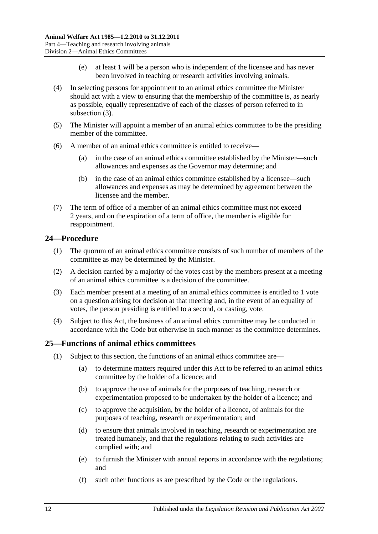- (e) at least 1 will be a person who is independent of the licensee and has never been involved in teaching or research activities involving animals.
- (4) In selecting persons for appointment to an animal ethics committee the Minister should act with a view to ensuring that the membership of the committee is, as nearly as possible, equally representative of each of the classes of person referred to in [subsection](#page-10-5) (3).
- (5) The Minister will appoint a member of an animal ethics committee to be the presiding member of the committee.
- (6) A member of an animal ethics committee is entitled to receive—
	- (a) in the case of an animal ethics committee established by the Minister—such allowances and expenses as the Governor may determine; and
	- (b) in the case of an animal ethics committee established by a licensee—such allowances and expenses as may be determined by agreement between the licensee and the member.
- (7) The term of office of a member of an animal ethics committee must not exceed 2 years, and on the expiration of a term of office, the member is eligible for reappointment.

## <span id="page-11-0"></span>**24—Procedure**

- (1) The quorum of an animal ethics committee consists of such number of members of the committee as may be determined by the Minister.
- (2) A decision carried by a majority of the votes cast by the members present at a meeting of an animal ethics committee is a decision of the committee.
- (3) Each member present at a meeting of an animal ethics committee is entitled to 1 vote on a question arising for decision at that meeting and, in the event of an equality of votes, the person presiding is entitled to a second, or casting, vote.
- (4) Subject to this Act, the business of an animal ethics committee may be conducted in accordance with the Code but otherwise in such manner as the committee determines.

## <span id="page-11-1"></span>**25—Functions of animal ethics committees**

- (1) Subject to this section, the functions of an animal ethics committee are—
	- (a) to determine matters required under this Act to be referred to an animal ethics committee by the holder of a licence; and
	- (b) to approve the use of animals for the purposes of teaching, research or experimentation proposed to be undertaken by the holder of a licence; and
	- (c) to approve the acquisition, by the holder of a licence, of animals for the purposes of teaching, research or experimentation; and
	- (d) to ensure that animals involved in teaching, research or experimentation are treated humanely, and that the regulations relating to such activities are complied with; and
	- (e) to furnish the Minister with annual reports in accordance with the regulations; and
	- (f) such other functions as are prescribed by the Code or the regulations.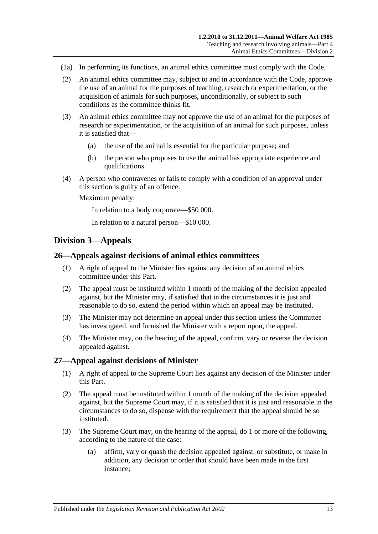- (1a) In performing its functions, an animal ethics committee must comply with the Code.
- (2) An animal ethics committee may, subject to and in accordance with the Code, approve the use of an animal for the purposes of teaching, research or experimentation, or the acquisition of animals for such purposes, unconditionally, or subject to such conditions as the committee thinks fit.
- (3) An animal ethics committee may not approve the use of an animal for the purposes of research or experimentation, or the acquisition of an animal for such purposes, unless it is satisfied that—
	- (a) the use of the animal is essential for the particular purpose; and
	- (b) the person who proposes to use the animal has appropriate experience and qualifications.
- (4) A person who contravenes or fails to comply with a condition of an approval under this section is guilty of an offence.

Maximum penalty:

In relation to a body corporate—\$50 000.

In relation to a natural person—\$10 000.

## <span id="page-12-0"></span>**Division 3—Appeals**

#### <span id="page-12-1"></span>**26—Appeals against decisions of animal ethics committees**

- (1) A right of appeal to the Minister lies against any decision of an animal ethics committee under this Part.
- (2) The appeal must be instituted within 1 month of the making of the decision appealed against, but the Minister may, if satisfied that in the circumstances it is just and reasonable to do so, extend the period within which an appeal may be instituted.
- (3) The Minister may not determine an appeal under this section unless the Committee has investigated, and furnished the Minister with a report upon, the appeal.
- (4) The Minister may, on the hearing of the appeal, confirm, vary or reverse the decision appealed against.

#### <span id="page-12-2"></span>**27—Appeal against decisions of Minister**

- (1) A right of appeal to the Supreme Court lies against any decision of the Minister under this Part.
- (2) The appeal must be instituted within 1 month of the making of the decision appealed against, but the Supreme Court may, if it is satisfied that it is just and reasonable in the circumstances to do so, dispense with the requirement that the appeal should be so instituted.
- (3) The Supreme Court may, on the hearing of the appeal, do 1 or more of the following, according to the nature of the case:
	- (a) affirm, vary or quash the decision appealed against, or substitute, or make in addition, any decision or order that should have been made in the first instance;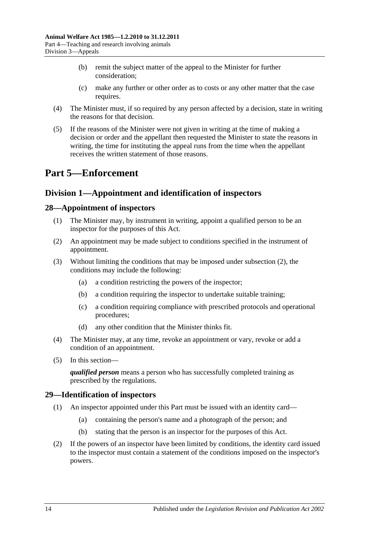- (b) remit the subject matter of the appeal to the Minister for further consideration;
- (c) make any further or other order as to costs or any other matter that the case requires.
- (4) The Minister must, if so required by any person affected by a decision, state in writing the reasons for that decision.
- (5) If the reasons of the Minister were not given in writing at the time of making a decision or order and the appellant then requested the Minister to state the reasons in writing, the time for instituting the appeal runs from the time when the appellant receives the written statement of those reasons.

## <span id="page-13-0"></span>**Part 5—Enforcement**

## <span id="page-13-1"></span>**Division 1—Appointment and identification of inspectors**

## <span id="page-13-2"></span>**28—Appointment of inspectors**

- (1) The Minister may, by instrument in writing, appoint a qualified person to be an inspector for the purposes of this Act.
- <span id="page-13-4"></span>(2) An appointment may be made subject to conditions specified in the instrument of appointment.
- (3) Without limiting the conditions that may be imposed under [subsection](#page-13-4) (2), the conditions may include the following:
	- (a) a condition restricting the powers of the inspector;
	- (b) a condition requiring the inspector to undertake suitable training;
	- (c) a condition requiring compliance with prescribed protocols and operational procedures;
	- (d) any other condition that the Minister thinks fit.
- (4) The Minister may, at any time, revoke an appointment or vary, revoke or add a condition of an appointment.
- (5) In this section—

*qualified person* means a person who has successfully completed training as prescribed by the regulations.

## <span id="page-13-3"></span>**29—Identification of inspectors**

- (1) An inspector appointed under this Part must be issued with an identity card—
	- (a) containing the person's name and a photograph of the person; and
	- (b) stating that the person is an inspector for the purposes of this Act.
- (2) If the powers of an inspector have been limited by conditions, the identity card issued to the inspector must contain a statement of the conditions imposed on the inspector's powers.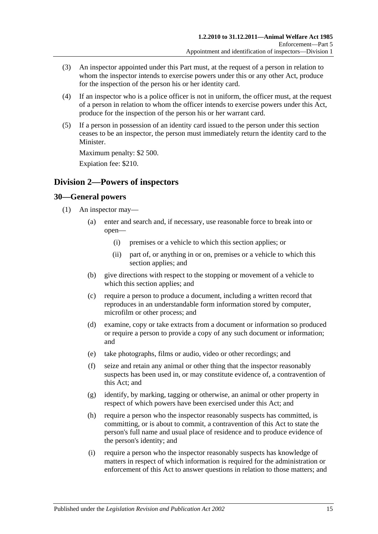- (3) An inspector appointed under this Part must, at the request of a person in relation to whom the inspector intends to exercise powers under this or any other Act, produce for the inspection of the person his or her identity card.
- (4) If an inspector who is a police officer is not in uniform, the officer must, at the request of a person in relation to whom the officer intends to exercise powers under this Act, produce for the inspection of the person his or her warrant card.
- (5) If a person in possession of an identity card issued to the person under this section ceases to be an inspector, the person must immediately return the identity card to the Minister.

Maximum penalty: \$2 500.

Expiation fee: \$210.

## <span id="page-14-0"></span>**Division 2—Powers of inspectors**

## <span id="page-14-2"></span><span id="page-14-1"></span>**30—General powers**

- <span id="page-14-3"></span>(1) An inspector may—
	- (a) enter and search and, if necessary, use reasonable force to break into or open—
		- (i) premises or a vehicle to which this section applies; or
		- (ii) part of, or anything in or on, premises or a vehicle to which this section applies; and
	- (b) give directions with respect to the stopping or movement of a vehicle to which this section applies; and
	- (c) require a person to produce a document, including a written record that reproduces in an understandable form information stored by computer, microfilm or other process; and
	- (d) examine, copy or take extracts from a document or information so produced or require a person to provide a copy of any such document or information; and
	- (e) take photographs, films or audio, video or other recordings; and
	- (f) seize and retain any animal or other thing that the inspector reasonably suspects has been used in, or may constitute evidence of, a contravention of this Act; and
	- (g) identify, by marking, tagging or otherwise, an animal or other property in respect of which powers have been exercised under this Act; and
	- (h) require a person who the inspector reasonably suspects has committed, is committing, or is about to commit, a contravention of this Act to state the person's full name and usual place of residence and to produce evidence of the person's identity; and
	- (i) require a person who the inspector reasonably suspects has knowledge of matters in respect of which information is required for the administration or enforcement of this Act to answer questions in relation to those matters; and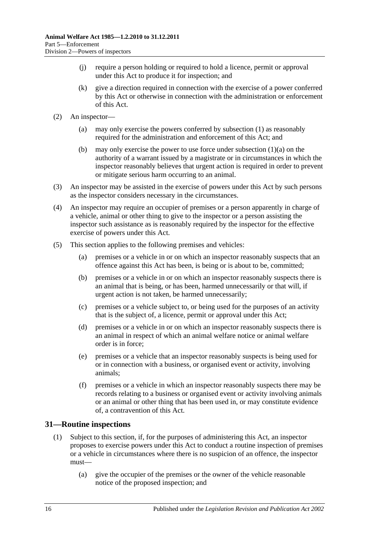- (j) require a person holding or required to hold a licence, permit or approval under this Act to produce it for inspection; and
- (k) give a direction required in connection with the exercise of a power conferred by this Act or otherwise in connection with the administration or enforcement of this Act.
- (2) An inspector—
	- (a) may only exercise the powers conferred by [subsection](#page-14-2) (1) as reasonably required for the administration and enforcement of this Act; and
	- (b) may only exercise the power to use force under [subsection](#page-14-3)  $(1)(a)$  on the authority of a warrant issued by a magistrate or in circumstances in which the inspector reasonably believes that urgent action is required in order to prevent or mitigate serious harm occurring to an animal.
- (3) An inspector may be assisted in the exercise of powers under this Act by such persons as the inspector considers necessary in the circumstances.
- (4) An inspector may require an occupier of premises or a person apparently in charge of a vehicle, animal or other thing to give to the inspector or a person assisting the inspector such assistance as is reasonably required by the inspector for the effective exercise of powers under this Act.
- (5) This section applies to the following premises and vehicles:
	- (a) premises or a vehicle in or on which an inspector reasonably suspects that an offence against this Act has been, is being or is about to be, committed;
	- (b) premises or a vehicle in or on which an inspector reasonably suspects there is an animal that is being, or has been, harmed unnecessarily or that will, if urgent action is not taken, be harmed unnecessarily;
	- (c) premises or a vehicle subject to, or being used for the purposes of an activity that is the subject of, a licence, permit or approval under this Act;
	- (d) premises or a vehicle in or on which an inspector reasonably suspects there is an animal in respect of which an animal welfare notice or animal welfare order is in force;
	- (e) premises or a vehicle that an inspector reasonably suspects is being used for or in connection with a business, or organised event or activity, involving animals;
	- (f) premises or a vehicle in which an inspector reasonably suspects there may be records relating to a business or organised event or activity involving animals or an animal or other thing that has been used in, or may constitute evidence of, a contravention of this Act.

## <span id="page-15-0"></span>**31—Routine inspections**

- (1) Subject to this section, if, for the purposes of administering this Act, an inspector proposes to exercise powers under this Act to conduct a routine inspection of premises or a vehicle in circumstances where there is no suspicion of an offence, the inspector must—
	- (a) give the occupier of the premises or the owner of the vehicle reasonable notice of the proposed inspection; and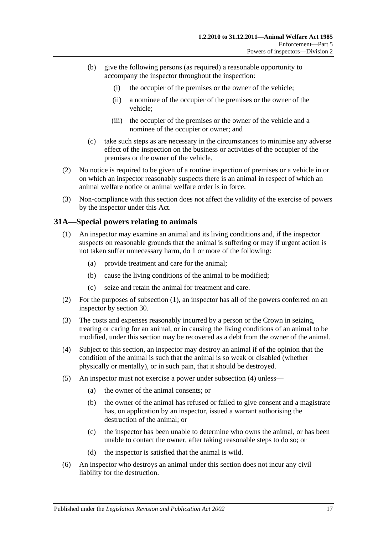- (b) give the following persons (as required) a reasonable opportunity to accompany the inspector throughout the inspection:
	- (i) the occupier of the premises or the owner of the vehicle;
	- (ii) a nominee of the occupier of the premises or the owner of the vehicle;
	- (iii) the occupier of the premises or the owner of the vehicle and a nominee of the occupier or owner; and
- (c) take such steps as are necessary in the circumstances to minimise any adverse effect of the inspection on the business or activities of the occupier of the premises or the owner of the vehicle.
- (2) No notice is required to be given of a routine inspection of premises or a vehicle in or on which an inspector reasonably suspects there is an animal in respect of which an animal welfare notice or animal welfare order is in force.
- (3) Non-compliance with this section does not affect the validity of the exercise of powers by the inspector under this Act.

#### <span id="page-16-1"></span><span id="page-16-0"></span>**31A—Special powers relating to animals**

- (1) An inspector may examine an animal and its living conditions and, if the inspector suspects on reasonable grounds that the animal is suffering or may if urgent action is not taken suffer unnecessary harm, do 1 or more of the following:
	- (a) provide treatment and care for the animal;
	- (b) cause the living conditions of the animal to be modified;
	- (c) seize and retain the animal for treatment and care.
- (2) For the purposes of [subsection](#page-16-1) (1), an inspector has all of the powers conferred on an inspector by [section](#page-14-1) 30.
- (3) The costs and expenses reasonably incurred by a person or the Crown in seizing, treating or caring for an animal, or in causing the living conditions of an animal to be modified, under this section may be recovered as a debt from the owner of the animal.
- <span id="page-16-2"></span>(4) Subject to this section, an inspector may destroy an animal if of the opinion that the condition of the animal is such that the animal is so weak or disabled (whether physically or mentally), or in such pain, that it should be destroyed.
- (5) An inspector must not exercise a power under [subsection](#page-16-2) (4) unless—
	- (a) the owner of the animal consents; or
	- (b) the owner of the animal has refused or failed to give consent and a magistrate has, on application by an inspector, issued a warrant authorising the destruction of the animal; or
	- (c) the inspector has been unable to determine who owns the animal, or has been unable to contact the owner, after taking reasonable steps to do so; or
	- (d) the inspector is satisfied that the animal is wild.
- (6) An inspector who destroys an animal under this section does not incur any civil liability for the destruction.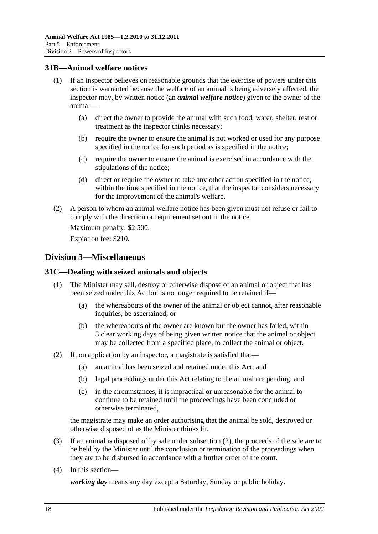## <span id="page-17-0"></span>**31B—Animal welfare notices**

- (1) If an inspector believes on reasonable grounds that the exercise of powers under this section is warranted because the welfare of an animal is being adversely affected, the inspector may, by written notice (an *animal welfare notice*) given to the owner of the animal—
	- (a) direct the owner to provide the animal with such food, water, shelter, rest or treatment as the inspector thinks necessary;
	- (b) require the owner to ensure the animal is not worked or used for any purpose specified in the notice for such period as is specified in the notice;
	- (c) require the owner to ensure the animal is exercised in accordance with the stipulations of the notice;
	- (d) direct or require the owner to take any other action specified in the notice, within the time specified in the notice, that the inspector considers necessary for the improvement of the animal's welfare.
- (2) A person to whom an animal welfare notice has been given must not refuse or fail to comply with the direction or requirement set out in the notice.

Maximum penalty: \$2 500.

Expiation fee: \$210.

## <span id="page-17-1"></span>**Division 3—Miscellaneous**

## <span id="page-17-2"></span>**31C—Dealing with seized animals and objects**

- (1) The Minister may sell, destroy or otherwise dispose of an animal or object that has been seized under this Act but is no longer required to be retained if—
	- (a) the whereabouts of the owner of the animal or object cannot, after reasonable inquiries, be ascertained; or
	- (b) the whereabouts of the owner are known but the owner has failed, within 3 clear working days of being given written notice that the animal or object may be collected from a specified place, to collect the animal or object.
- <span id="page-17-3"></span>(2) If, on application by an inspector, a magistrate is satisfied that—
	- (a) an animal has been seized and retained under this Act; and
	- (b) legal proceedings under this Act relating to the animal are pending; and
	- (c) in the circumstances, it is impractical or unreasonable for the animal to continue to be retained until the proceedings have been concluded or otherwise terminated,

the magistrate may make an order authorising that the animal be sold, destroyed or otherwise disposed of as the Minister thinks fit.

- (3) If an animal is disposed of by sale under [subsection](#page-17-3) (2), the proceeds of the sale are to be held by the Minister until the conclusion or termination of the proceedings when they are to be disbursed in accordance with a further order of the court.
- (4) In this section—

*working day* means any day except a Saturday, Sunday or public holiday.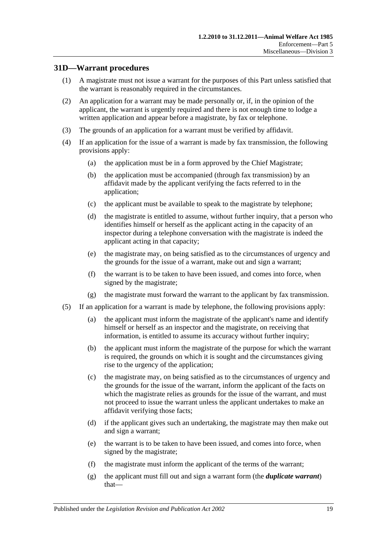## <span id="page-18-0"></span>**31D—Warrant procedures**

- (1) A magistrate must not issue a warrant for the purposes of this Part unless satisfied that the warrant is reasonably required in the circumstances.
- (2) An application for a warrant may be made personally or, if, in the opinion of the applicant, the warrant is urgently required and there is not enough time to lodge a written application and appear before a magistrate, by fax or telephone.
- (3) The grounds of an application for a warrant must be verified by affidavit.
- (4) If an application for the issue of a warrant is made by fax transmission, the following provisions apply:
	- (a) the application must be in a form approved by the Chief Magistrate;
	- (b) the application must be accompanied (through fax transmission) by an affidavit made by the applicant verifying the facts referred to in the application;
	- (c) the applicant must be available to speak to the magistrate by telephone;
	- (d) the magistrate is entitled to assume, without further inquiry, that a person who identifies himself or herself as the applicant acting in the capacity of an inspector during a telephone conversation with the magistrate is indeed the applicant acting in that capacity;
	- (e) the magistrate may, on being satisfied as to the circumstances of urgency and the grounds for the issue of a warrant, make out and sign a warrant;
	- (f) the warrant is to be taken to have been issued, and comes into force, when signed by the magistrate;
	- (g) the magistrate must forward the warrant to the applicant by fax transmission.
- <span id="page-18-1"></span>(5) If an application for a warrant is made by telephone, the following provisions apply:
	- (a) the applicant must inform the magistrate of the applicant's name and identify himself or herself as an inspector and the magistrate, on receiving that information, is entitled to assume its accuracy without further inquiry;
	- (b) the applicant must inform the magistrate of the purpose for which the warrant is required, the grounds on which it is sought and the circumstances giving rise to the urgency of the application;
	- (c) the magistrate may, on being satisfied as to the circumstances of urgency and the grounds for the issue of the warrant, inform the applicant of the facts on which the magistrate relies as grounds for the issue of the warrant, and must not proceed to issue the warrant unless the applicant undertakes to make an affidavit verifying those facts;
	- (d) if the applicant gives such an undertaking, the magistrate may then make out and sign a warrant;
	- (e) the warrant is to be taken to have been issued, and comes into force, when signed by the magistrate;
	- (f) the magistrate must inform the applicant of the terms of the warrant;
	- (g) the applicant must fill out and sign a warrant form (the *duplicate warrant*) that—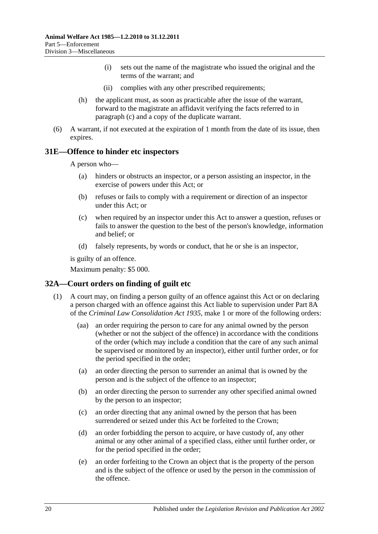- (i) sets out the name of the magistrate who issued the original and the terms of the warrant; and
- (ii) complies with any other prescribed requirements;
- (h) the applicant must, as soon as practicable after the issue of the warrant, forward to the magistrate an affidavit verifying the facts referred to in [paragraph](#page-18-1) (c) and a copy of the duplicate warrant.
- (6) A warrant, if not executed at the expiration of 1 month from the date of its issue, then expires.

#### <span id="page-19-0"></span>**31E—Offence to hinder etc inspectors**

A person who—

- (a) hinders or obstructs an inspector, or a person assisting an inspector, in the exercise of powers under this Act; or
- (b) refuses or fails to comply with a requirement or direction of an inspector under this Act; or
- (c) when required by an inspector under this Act to answer a question, refuses or fails to answer the question to the best of the person's knowledge, information and belief; or
- (d) falsely represents, by words or conduct, that he or she is an inspector,

is guilty of an offence.

Maximum penalty: \$5 000.

## <span id="page-19-2"></span><span id="page-19-1"></span>**32A—Court orders on finding of guilt etc**

- (1) A court may, on finding a person guilty of an offence against this Act or on declaring a person charged with an offence against this Act liable to supervision under Part 8A of the *[Criminal Law Consolidation Act](http://www.legislation.sa.gov.au/index.aspx?action=legref&type=act&legtitle=Criminal%20Law%20Consolidation%20Act%201935) 1935*, make 1 or more of the following orders:
	- (aa) an order requiring the person to care for any animal owned by the person (whether or not the subject of the offence) in accordance with the conditions of the order (which may include a condition that the care of any such animal be supervised or monitored by an inspector), either until further order, or for the period specified in the order;
	- (a) an order directing the person to surrender an animal that is owned by the person and is the subject of the offence to an inspector;
	- (b) an order directing the person to surrender any other specified animal owned by the person to an inspector;
	- (c) an order directing that any animal owned by the person that has been surrendered or seized under this Act be forfeited to the Crown;
	- (d) an order forbidding the person to acquire, or have custody of, any other animal or any other animal of a specified class, either until further order, or for the period specified in the order;
	- (e) an order forfeiting to the Crown an object that is the property of the person and is the subject of the offence or used by the person in the commission of the offence.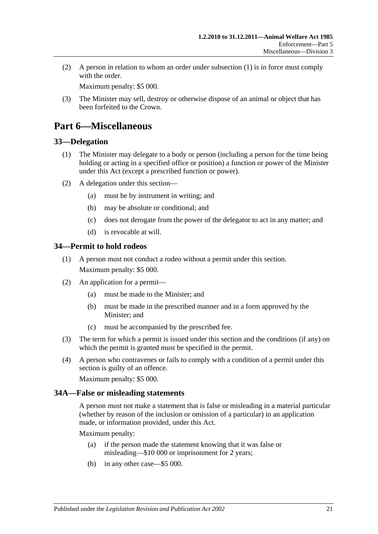(2) A person in relation to whom an order under [subsection](#page-19-2) (1) is in force must comply with the order

Maximum penalty: \$5 000.

(3) The Minister may sell, destroy or otherwise dispose of an animal or object that has been forfeited to the Crown.

## <span id="page-20-0"></span>**Part 6—Miscellaneous**

#### <span id="page-20-1"></span>**33—Delegation**

- (1) The Minister may delegate to a body or person (including a person for the time being holding or acting in a specified office or position) a function or power of the Minister under this Act (except a prescribed function or power).
- (2) A delegation under this section—
	- (a) must be by instrument in writing; and
	- (b) may be absolute or conditional; and
	- (c) does not derogate from the power of the delegator to act in any matter; and
	- (d) is revocable at will.

## <span id="page-20-2"></span>**34—Permit to hold rodeos**

- (1) A person must not conduct a rodeo without a permit under this section. Maximum penalty: \$5 000.
- (2) An application for a permit—
	- (a) must be made to the Minister; and
	- (b) must be made in the prescribed manner and in a form approved by the Minister; and
	- (c) must be accompanied by the prescribed fee.
- (3) The term for which a permit is issued under this section and the conditions (if any) on which the permit is granted must be specified in the permit.
- (4) A person who contravenes or fails to comply with a condition of a permit under this section is guilty of an offence.

Maximum penalty: \$5 000.

## <span id="page-20-3"></span>**34A—False or misleading statements**

A person must not make a statement that is false or misleading in a material particular (whether by reason of the inclusion or omission of a particular) in an application made, or information provided, under this Act.

Maximum penalty:

- (a) if the person made the statement knowing that it was false or misleading—\$10 000 or imprisonment for 2 years;
- (b) in any other case—\$5 000.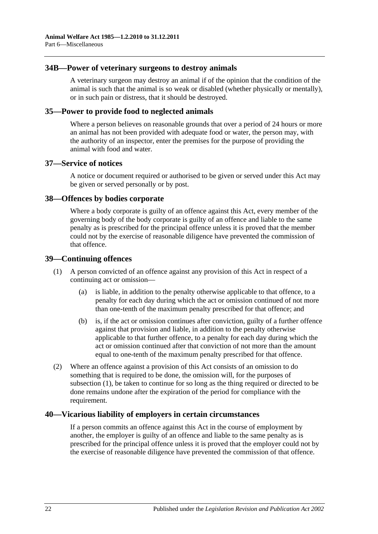### <span id="page-21-0"></span>**34B—Power of veterinary surgeons to destroy animals**

A veterinary surgeon may destroy an animal if of the opinion that the condition of the animal is such that the animal is so weak or disabled (whether physically or mentally), or in such pain or distress, that it should be destroyed.

#### <span id="page-21-1"></span>**35—Power to provide food to neglected animals**

Where a person believes on reasonable grounds that over a period of 24 hours or more an animal has not been provided with adequate food or water, the person may, with the authority of an inspector, enter the premises for the purpose of providing the animal with food and water.

## <span id="page-21-2"></span>**37—Service of notices**

A notice or document required or authorised to be given or served under this Act may be given or served personally or by post.

#### <span id="page-21-3"></span>**38—Offences by bodies corporate**

Where a body corporate is guilty of an offence against this Act, every member of the governing body of the body corporate is guilty of an offence and liable to the same penalty as is prescribed for the principal offence unless it is proved that the member could not by the exercise of reasonable diligence have prevented the commission of that offence.

#### <span id="page-21-6"></span><span id="page-21-4"></span>**39—Continuing offences**

- (1) A person convicted of an offence against any provision of this Act in respect of a continuing act or omission—
	- (a) is liable, in addition to the penalty otherwise applicable to that offence, to a penalty for each day during which the act or omission continued of not more than one-tenth of the maximum penalty prescribed for that offence; and
	- (b) is, if the act or omission continues after conviction, guilty of a further offence against that provision and liable, in addition to the penalty otherwise applicable to that further offence, to a penalty for each day during which the act or omission continued after that conviction of not more than the amount equal to one-tenth of the maximum penalty prescribed for that offence.
- (2) Where an offence against a provision of this Act consists of an omission to do something that is required to be done, the omission will, for the purposes of [subsection](#page-21-6) (1), be taken to continue for so long as the thing required or directed to be done remains undone after the expiration of the period for compliance with the requirement.

## <span id="page-21-5"></span>**40—Vicarious liability of employers in certain circumstances**

If a person commits an offence against this Act in the course of employment by another, the employer is guilty of an offence and liable to the same penalty as is prescribed for the principal offence unless it is proved that the employer could not by the exercise of reasonable diligence have prevented the commission of that offence.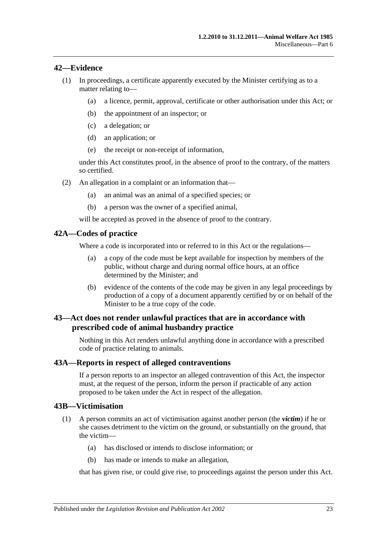### <span id="page-22-0"></span>**42—Evidence**

- (1) In proceedings, a certificate apparently executed by the Minister certifying as to a matter relating to—
	- (a) a licence, permit, approval, certificate or other authorisation under this Act; or
	- (b) the appointment of an inspector; or
	- (c) a delegation; or
	- (d) an application; or
	- (e) the receipt or non-receipt of information,

under this Act constitutes proof, in the absence of proof to the contrary, of the matters so certified.

- (2) An allegation in a complaint or an information that—
	- (a) an animal was an animal of a specified species; or
	- (b) a person was the owner of a specified animal,

will be accepted as proved in the absence of proof to the contrary.

#### <span id="page-22-1"></span>**42A—Codes of practice**

Where a code is incorporated into or referred to in this Act or the regulations—

- (a) a copy of the code must be kept available for inspection by members of the public, without charge and during normal office hours, at an office determined by the Minister; and
- (b) evidence of the contents of the code may be given in any legal proceedings by production of a copy of a document apparently certified by or on behalf of the Minister to be a true copy of the code.

## <span id="page-22-2"></span>**43—Act does not render unlawful practices that are in accordance with prescribed code of animal husbandry practice**

Nothing in this Act renders unlawful anything done in accordance with a prescribed code of practice relating to animals.

#### <span id="page-22-3"></span>**43A—Reports in respect of alleged contraventions**

If a person reports to an inspector an alleged contravention of this Act, the inspector must, at the request of the person, inform the person if practicable of any action proposed to be taken under the Act in respect of the allegation.

#### <span id="page-22-4"></span>**43B—Victimisation**

- (1) A person commits an act of victimisation against another person (the *victim*) if he or she causes detriment to the victim on the ground, or substantially on the ground, that the victim—
	- (a) has disclosed or intends to disclose information; or
	- (b) has made or intends to make an allegation,

that has given rise, or could give rise, to proceedings against the person under this Act.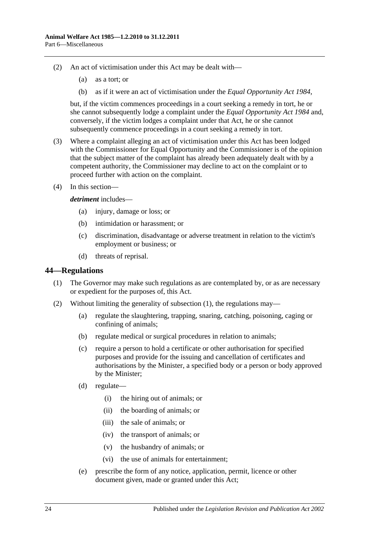- (2) An act of victimisation under this Act may be dealt with—
	- (a) as a tort; or
	- (b) as if it were an act of victimisation under the *[Equal Opportunity Act](http://www.legislation.sa.gov.au/index.aspx?action=legref&type=act&legtitle=Equal%20Opportunity%20Act%201984) 1984*,

but, if the victim commences proceedings in a court seeking a remedy in tort, he or she cannot subsequently lodge a complaint under the *[Equal Opportunity Act](http://www.legislation.sa.gov.au/index.aspx?action=legref&type=act&legtitle=Equal%20Opportunity%20Act%201984) 1984* and, conversely, if the victim lodges a complaint under that Act, he or she cannot subsequently commence proceedings in a court seeking a remedy in tort.

- (3) Where a complaint alleging an act of victimisation under this Act has been lodged with the Commissioner for Equal Opportunity and the Commissioner is of the opinion that the subject matter of the complaint has already been adequately dealt with by a competent authority, the Commissioner may decline to act on the complaint or to proceed further with action on the complaint.
- (4) In this section—

#### *detriment* includes—

- (a) injury, damage or loss; or
- (b) intimidation or harassment; or
- (c) discrimination, disadvantage or adverse treatment in relation to the victim's employment or business; or
- (d) threats of reprisal.

#### <span id="page-23-1"></span><span id="page-23-0"></span>**44—Regulations**

- (1) The Governor may make such regulations as are contemplated by, or as are necessary or expedient for the purposes of, this Act.
- (2) Without limiting the generality of [subsection](#page-23-1) (1), the regulations may—
	- (a) regulate the slaughtering, trapping, snaring, catching, poisoning, caging or confining of animals;
	- (b) regulate medical or surgical procedures in relation to animals;
	- (c) require a person to hold a certificate or other authorisation for specified purposes and provide for the issuing and cancellation of certificates and authorisations by the Minister, a specified body or a person or body approved by the Minister;
	- (d) regulate—
		- (i) the hiring out of animals; or
		- (ii) the boarding of animals; or
		- (iii) the sale of animals; or
		- (iv) the transport of animals; or
		- (v) the husbandry of animals; or
		- (vi) the use of animals for entertainment;
	- (e) prescribe the form of any notice, application, permit, licence or other document given, made or granted under this Act;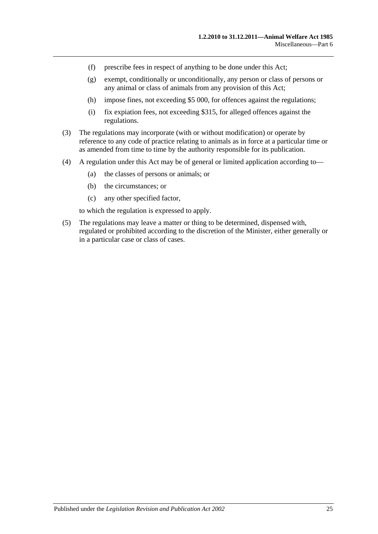- (f) prescribe fees in respect of anything to be done under this Act;
- (g) exempt, conditionally or unconditionally, any person or class of persons or any animal or class of animals from any provision of this Act;
- (h) impose fines, not exceeding \$5 000, for offences against the regulations;
- (i) fix expiation fees, not exceeding \$315, for alleged offences against the regulations.
- (3) The regulations may incorporate (with or without modification) or operate by reference to any code of practice relating to animals as in force at a particular time or as amended from time to time by the authority responsible for its publication.
- (4) A regulation under this Act may be of general or limited application according to—
	- (a) the classes of persons or animals; or
	- (b) the circumstances; or
	- (c) any other specified factor,

to which the regulation is expressed to apply.

(5) The regulations may leave a matter or thing to be determined, dispensed with, regulated or prohibited according to the discretion of the Minister, either generally or in a particular case or class of cases.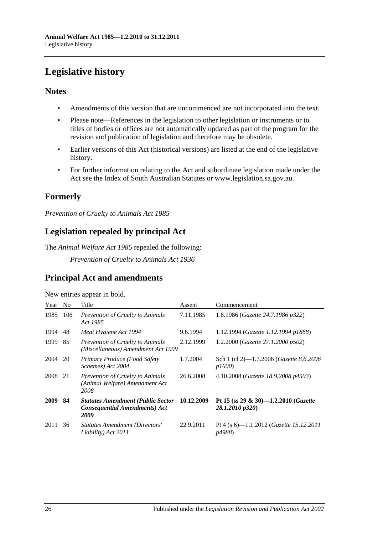# <span id="page-25-0"></span>**Legislative history**

## **Notes**

- Amendments of this version that are uncommenced are not incorporated into the text.
- Please note—References in the legislation to other legislation or instruments or to titles of bodies or offices are not automatically updated as part of the program for the revision and publication of legislation and therefore may be obsolete.
- Earlier versions of this Act (historical versions) are listed at the end of the legislative history.
- For further information relating to the Act and subordinate legislation made under the Act see the Index of South Australian Statutes or www.legislation.sa.gov.au.

## **Formerly**

*Prevention of Cruelty to Animals Act 1985*

## **Legislation repealed by principal Act**

The *Animal Welfare Act 1985* repealed the following:

*Prevention of Cruelty to Animals Act 1936*

## **Principal Act and amendments**

New entries appear in bold.

| Year        | N <sub>0</sub> | Title                                                                                    | Assent     | Commencement                                            |
|-------------|----------------|------------------------------------------------------------------------------------------|------------|---------------------------------------------------------|
| 1985        | 106            | <b>Prevention of Cruelty to Animals</b><br>Act 1985                                      | 7.11.1985  | 1.8.1986 (Gazette 24.7.1986 p322)                       |
| 1994        | 48             | Meat Hygiene Act 1994                                                                    | 9.6.1994   | 1.12.1994 (Gazette 1.12.1994 p1868)                     |
| 1999        | 85             | Prevention of Cruelty to Animals<br>(Miscellaneous) Amendment Act 1999                   | 2.12.1999  | 1.2.2000 (Gazette 27.1.2000 p502)                       |
| 2004        | 20             | Primary Produce (Food Safety<br>Schemes) Act 2004                                        | 1.7.2004   | Sch 1 (cl 2)-1.7.2006 (Gazette 8.6.2006<br>p1600        |
| 2008        | 21             | Prevention of Cruelty to Animals<br>(Animal Welfare) Amendment Act<br>2008               | 26.6.2008  | 4.10.2008 (Gazette 18.9.2008 p4503)                     |
| <b>2009</b> | 84             | <b>Statutes Amendment (Public Sector</b><br><b>Consequential Amendments) Act</b><br>2009 | 10.12.2009 | Pt 15 (ss 29 & 30)-1.2.2010 (Gazette<br>28.1.2010 p320) |
| 2011        | 36             | <b>Statutes Amendment (Directors'</b><br>Liability) Act 2011                             | 22.9.2011  | Pt 4 (s 6)-1.1.2012 (Gazette 15.12.2011<br>p4988)       |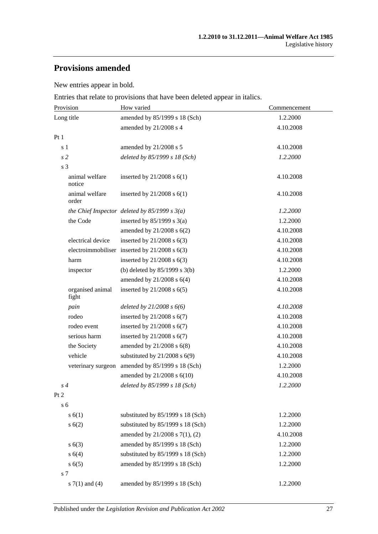## **Provisions amended**

New entries appear in bold.

Entries that relate to provisions that have been deleted appear in italics.

| Provision                 | How varied                                        | Commencement |  |
|---------------------------|---------------------------------------------------|--------------|--|
| Long title                | amended by 85/1999 s 18 (Sch)                     | 1.2.2000     |  |
|                           | amended by 21/2008 s 4                            | 4.10.2008    |  |
| Pt1                       |                                                   |              |  |
| s 1                       | amended by 21/2008 s 5                            | 4.10.2008    |  |
| s <sub>2</sub>            | deleted by 85/1999 s 18 (Sch)                     | 1.2.2000     |  |
| s 3                       |                                                   |              |  |
| animal welfare<br>notice  | inserted by $21/2008$ s $6(1)$                    | 4.10.2008    |  |
| animal welfare<br>order   | inserted by $21/2008$ s $6(1)$                    | 4.10.2008    |  |
|                           | the Chief Inspector deleted by $85/1999 s 3(a)$   | 1.2.2000     |  |
| the Code                  | inserted by $85/1999$ s 3(a)                      | 1.2.2000     |  |
|                           | amended by $21/2008$ s $6(2)$                     | 4.10.2008    |  |
| electrical device         | inserted by $21/2008$ s $6(3)$                    | 4.10.2008    |  |
|                           | electroimmobiliser inserted by $21/2008$ s $6(3)$ | 4.10.2008    |  |
| harm                      | inserted by $21/2008$ s $6(3)$                    | 4.10.2008    |  |
| inspector                 | (b) deleted by $85/1999$ s 3(b)                   | 1.2.2000     |  |
|                           | amended by 21/2008 s 6(4)                         | 4.10.2008    |  |
| organised animal<br>fight | inserted by $21/2008$ s $6(5)$                    | 4.10.2008    |  |
| pain                      | deleted by $21/2008 s 6(6)$                       | 4.10.2008    |  |
| rodeo                     | inserted by $21/2008$ s $6(7)$                    | 4.10.2008    |  |
| rodeo event               | inserted by $21/2008$ s $6(7)$                    | 4.10.2008    |  |
| serious harm              | inserted by $21/2008$ s $6(7)$                    | 4.10.2008    |  |
| the Society               | amended by $21/2008$ s $6(8)$                     | 4.10.2008    |  |
| vehicle                   | substituted by $21/2008$ s $6(9)$                 | 4.10.2008    |  |
| veterinary surgeon        | amended by 85/1999 s 18 (Sch)                     | 1.2.2000     |  |
|                           | amended by $21/2008$ s $6(10)$                    | 4.10.2008    |  |
| $s\,4$                    | deleted by 85/1999 s 18 (Sch)                     | 1.2.2000     |  |
| Pt <sub>2</sub>           |                                                   |              |  |
| s <sub>6</sub>            |                                                   |              |  |
| s(6(1))                   | substituted by 85/1999 s 18 (Sch)                 | 1.2.2000     |  |
| s(6(2))                   | substituted by 85/1999 s 18 (Sch)                 | 1.2.2000     |  |
|                           | amended by 21/2008 s 7(1), (2)                    | 4.10.2008    |  |
| s(6(3))                   | amended by 85/1999 s 18 (Sch)                     | 1.2.2000     |  |
| s 6(4)                    | substituted by 85/1999 s 18 (Sch)                 | 1.2.2000     |  |
| s(6(5)                    | amended by 85/1999 s 18 (Sch)                     | 1.2.2000     |  |
| s 7                       |                                                   |              |  |
| s $7(1)$ and $(4)$        | amended by 85/1999 s 18 (Sch)                     | 1.2.2000     |  |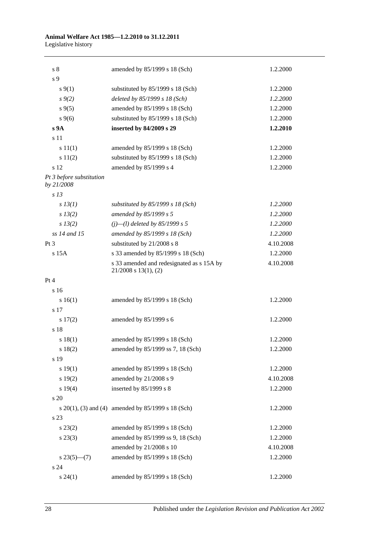#### **Animal Welfare Act 1985—1.2.2010 to 31.12.2011** Legislative history

| s <sub>8</sub>                         | amended by 85/1999 s 18 (Sch)                                          | 1.2.2000  |
|----------------------------------------|------------------------------------------------------------------------|-----------|
| s 9                                    |                                                                        |           |
| $s \, 9(1)$                            | substituted by $85/1999$ s 18 (Sch)                                    | 1.2.2000  |
| $s \, 9(2)$                            | deleted by 85/1999 s 18 (Sch)                                          | 1.2.2000  |
| $s \, 9(5)$                            | amended by 85/1999 s 18 (Sch)                                          | 1.2.2000  |
| $s \, 9(6)$                            | substituted by 85/1999 s 18 (Sch)                                      | 1.2.2000  |
| s 9A                                   | inserted by 84/2009 s 29                                               | 1.2.2010  |
| s 11                                   |                                                                        |           |
| s 11(1)                                | amended by 85/1999 s 18 (Sch)                                          | 1.2.2000  |
| s 11(2)                                | substituted by 85/1999 s 18 (Sch)                                      | 1.2.2000  |
| s 12                                   | amended by 85/1999 s 4                                                 | 1.2.2000  |
| Pt 3 before substitution<br>by 21/2008 |                                                                        |           |
| s <sub>13</sub>                        |                                                                        |           |
| $s$ 13(1)                              | substituted by $85/1999$ s 18 (Sch)                                    | 1.2.2000  |
| $s\,13(2)$                             | amended by 85/1999 s 5                                                 | 1.2.2000  |
| $s\,13(2)$                             | $(j)$ —(l) deleted by 85/1999 s 5                                      | 1.2.2000  |
| ss 14 and 15                           | amended by 85/1999 s 18 (Sch)                                          | 1.2.2000  |
| $Pt\,3$                                | substituted by 21/2008 s 8                                             | 4.10.2008 |
| $s$ 15 $A$                             | s 33 amended by 85/1999 s 18 (Sch)                                     | 1.2.2000  |
|                                        | s 33 amended and redesignated as s 15A by<br>$21/2008$ s $13(1)$ , (2) | 4.10.2008 |
| Pt 4                                   |                                                                        |           |
| s 16                                   |                                                                        |           |
| s 16(1)                                | amended by 85/1999 s 18 (Sch)                                          | 1.2.2000  |
| s 17                                   |                                                                        |           |
| 17(2)                                  | amended by 85/1999 s 6                                                 | 1.2.2000  |
| s 18                                   |                                                                        |           |
| s 18(1)                                | amended by 85/1999 s 18 (Sch)                                          | 1.2.2000  |
| s 18(2)                                | amended by 85/1999 ss 7, 18 (Sch)                                      | 1.2.2000  |
| s 19                                   |                                                                        |           |
| s 19(1)                                | amended by 85/1999 s 18 (Sch)                                          | 1.2.2000  |
| s 19(2)                                | amended by 21/2008 s 9                                                 | 4.10.2008 |
| s 19(4)                                | inserted by 85/1999 s 8                                                | 1.2.2000  |
| s 20                                   |                                                                        |           |
|                                        | s $20(1)$ , (3) and (4) amended by $85/1999$ s 18 (Sch)                | 1.2.2000  |
| s 23                                   |                                                                        |           |
| $s\,23(2)$                             | amended by 85/1999 s 18 (Sch)                                          | 1.2.2000  |
| $s\,23(3)$                             | amended by 85/1999 ss 9, 18 (Sch)                                      | 1.2.2000  |
|                                        | amended by 21/2008 s 10                                                | 4.10.2008 |
| $s\,23(5)$ —(7)                        | amended by 85/1999 s 18 (Sch)                                          | 1.2.2000  |
| s 24                                   |                                                                        |           |
| $s\,24(1)$                             | amended by 85/1999 s 18 (Sch)                                          | 1.2.2000  |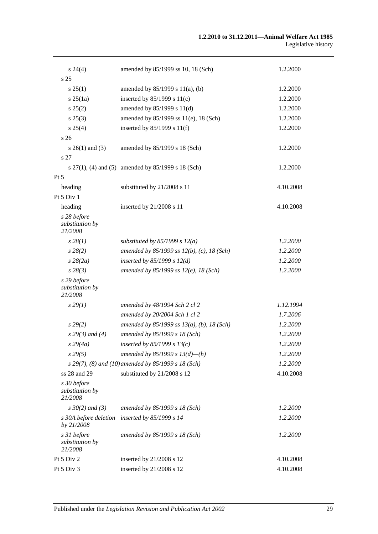| $s\,24(4)$                                | amended by 85/1999 ss 10, 18 (Sch)                  | 1.2.2000  |
|-------------------------------------------|-----------------------------------------------------|-----------|
| s 25                                      |                                                     |           |
| s 25(1)                                   | amended by $85/1999$ s $11(a)$ , (b)                | 1.2.2000  |
| s 25(1a)                                  | inserted by $85/1999$ s $11(c)$                     | 1.2.2000  |
| s 25(2)                                   | amended by 85/1999 s 11(d)                          | 1.2.2000  |
| $s\,25(3)$                                | amended by 85/1999 ss 11(e), 18 (Sch)               | 1.2.2000  |
| s 25(4)                                   | inserted by $85/1999$ s $11(f)$                     | 1.2.2000  |
| s <sub>26</sub>                           |                                                     |           |
| $s \; 26(1)$ and (3)                      | amended by 85/1999 s 18 (Sch)                       | 1.2.2000  |
| s 27                                      |                                                     |           |
|                                           | s 27(1), (4) and (5) amended by 85/1999 s 18 (Sch)  | 1.2.2000  |
| $Pt\,5$                                   |                                                     |           |
| heading                                   | substituted by 21/2008 s 11                         | 4.10.2008 |
| Pt 5 Div 1                                |                                                     |           |
| heading                                   | inserted by 21/2008 s 11                            | 4.10.2008 |
| s 28 before<br>substitution by<br>21/2008 |                                                     |           |
| $s\,28(1)$                                | substituted by $85/1999$ s $12(a)$                  | 1.2.2000  |
| $s\,28(2)$                                | amended by $85/1999$ ss $12(b)$ , (c), 18 (Sch)     | 1.2.2000  |
| $s\,28(2a)$                               | inserted by $85/1999 s 12(d)$                       | 1.2.2000  |
| $s\,28(3)$                                | amended by $85/1999$ ss $12(e)$ , 18 (Sch)          | 1.2.2000  |
| s 29 before<br>substitution by<br>21/2008 |                                                     |           |
| s 29(1)                                   | amended by 48/1994 Sch 2 cl 2                       | 1.12.1994 |
|                                           | amended by 20/2004 Sch 1 cl 2                       | 1.7.2006  |
| $s\,29(2)$                                | amended by $85/1999$ ss $13(a)$ , (b), 18 (Sch)     | 1.2.2000  |
| $s$ 29(3) and (4)                         | amended by 85/1999 s 18 (Sch)                       | 1.2.2000  |
| $s\,29(4a)$                               | inserted by $85/1999 s 13(c)$                       | 1.2.2000  |
| $s\,29(5)$                                | amended by 85/1999 s $13(d)$ —(h)                   | 1.2.2000  |
|                                           | s 29(7), (8) and (10) amended by 85/1999 s 18 (Sch) | 1.2.2000  |
| ss 28 and 29                              | substituted by 21/2008 s 12                         | 4.10.2008 |
| s 30 before<br>substitution by<br>21/2008 |                                                     |           |
| $s \, 30(2)$ and (3)                      | amended by 85/1999 s 18 (Sch)                       | 1.2.2000  |
| s 30A before deletion<br>by 21/2008       | inserted by 85/1999 s 14                            | 1.2.2000  |
| s 31 before<br>substitution by<br>21/2008 | amended by 85/1999 s 18 (Sch)                       | 1.2.2000  |
| Pt 5 Div 2                                | inserted by 21/2008 s 12                            | 4.10.2008 |
| Pt 5 Div 3                                | inserted by 21/2008 s 12                            | 4.10.2008 |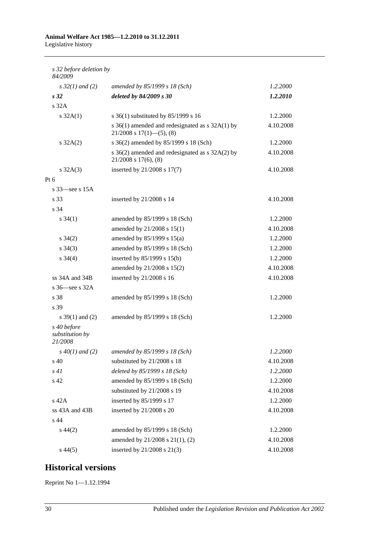## **Animal Welfare Act 1985—1.2.2010 to 31.12.2011**

Legislative history

| s 32 before deletion by<br>84/2009        |                                                                                      |           |
|-------------------------------------------|--------------------------------------------------------------------------------------|-----------|
| $s \, 32(1)$ and (2)                      | amended by 85/1999 s 18 (Sch)                                                        | 1.2.2000  |
| s <sub>32</sub>                           | deleted by 84/2009 s 30                                                              | 1.2.2010  |
| s <sub>32A</sub>                          |                                                                                      |           |
| $s \, 32A(1)$                             | s 36(1) substituted by 85/1999 s 16                                                  | 1.2.2000  |
|                                           | s $36(1)$ amended and redesignated as s $32A(1)$ by<br>$21/2008$ s $17(1)$ —(5), (8) | 4.10.2008 |
| $s \, 32A(2)$                             | s 36(2) amended by 85/1999 s 18 (Sch)                                                | 1.2.2000  |
|                                           | s 36(2) amended and redesignated as s 32A(2) by<br>$21/2008$ s $17(6)$ , $(8)$       | 4.10.2008 |
| $s \, 32A(3)$                             | inserted by 21/2008 s 17(7)                                                          | 4.10.2008 |
| Pt 6                                      |                                                                                      |           |
| s $33$ —see s $15A$                       |                                                                                      |           |
| s 33                                      | inserted by 21/2008 s 14                                                             | 4.10.2008 |
| s 34                                      |                                                                                      |           |
| $s \, 34(1)$                              | amended by 85/1999 s 18 (Sch)                                                        | 1.2.2000  |
|                                           | amended by 21/2008 s 15(1)                                                           | 4.10.2008 |
| $s \; 34(2)$                              | amended by $85/1999$ s $15(a)$                                                       | 1.2.2000  |
| $s \; 34(3)$                              | amended by 85/1999 s 18 (Sch)                                                        | 1.2.2000  |
| $s \; 34(4)$                              | inserted by $85/1999$ s $15(b)$                                                      | 1.2.2000  |
|                                           | amended by 21/2008 s 15(2)                                                           | 4.10.2008 |
| ss 34A and 34B                            | inserted by 21/2008 s 16                                                             | 4.10.2008 |
| s $36$ -see s $32A$                       |                                                                                      |           |
| s 38                                      | amended by 85/1999 s 18 (Sch)                                                        | 1.2.2000  |
| s 39                                      |                                                                                      |           |
| s $39(1)$ and (2)                         | amended by 85/1999 s 18 (Sch)                                                        | 1.2.2000  |
| s 40 before<br>substitution by<br>21/2008 |                                                                                      |           |
| $s\,40(1)$ and (2)                        | amended by 85/1999 s 18 (Sch)                                                        | 1.2.2000  |
| s 40                                      | substituted by 21/2008 s 18                                                          | 4.10.2008 |
| s41                                       | deleted by 85/1999 s 18 (Sch)                                                        | 1.2.2000  |
| s 42                                      | amended by 85/1999 s 18 (Sch)                                                        | 1.2.2000  |
|                                           | substituted by 21/2008 s 19                                                          | 4.10.2008 |
| s 42A                                     | inserted by 85/1999 s 17                                                             | 1.2.2000  |
| ss 43A and 43B                            | inserted by 21/2008 s 20                                                             | 4.10.2008 |
| s 44                                      |                                                                                      |           |
| $s\,44(2)$                                | amended by 85/1999 s 18 (Sch)                                                        | 1.2.2000  |
|                                           | amended by 21/2008 s 21(1), (2)                                                      | 4.10.2008 |
| $s\,44(5)$                                | inserted by 21/2008 s 21(3)                                                          | 4.10.2008 |

## **Historical versions**

Reprint No 1—1.12.1994